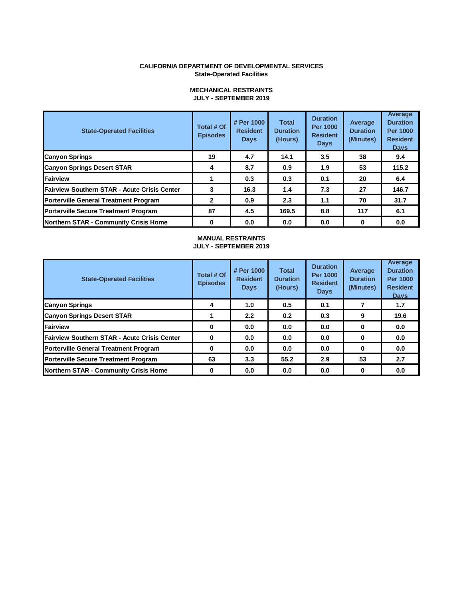#### **CALIFORNIA DEPARTMENT OF DEVELOPMENTAL SERVICES State-Operated Facilities**

| <b>State-Operated Facilities</b>                    | Total # Of<br><b>Episodes</b> | # Per 1000<br><b>Resident</b><br><b>Days</b> | <b>Total</b><br><b>Duration</b><br>(Hours) | <b>Duration</b><br><b>Per 1000</b><br><b>Resident</b><br><b>Days</b> | Average<br><b>Duration</b><br>(Minutes) | Average<br><b>Duration</b><br><b>Per 1000</b><br><b>Resident</b><br><b>Davs</b> |
|-----------------------------------------------------|-------------------------------|----------------------------------------------|--------------------------------------------|----------------------------------------------------------------------|-----------------------------------------|---------------------------------------------------------------------------------|
| <b>Canyon Springs</b>                               | 19                            | 4.7                                          | 14.1                                       | 3.5                                                                  | 38                                      | 9.4                                                                             |
| <b>Canyon Springs Desert STAR</b>                   | 4                             | 8.7                                          | 0.9                                        | 1.9                                                                  | 53                                      | 115.2                                                                           |
| Fairview                                            |                               | 0.3                                          | 0.3                                        | 0.1                                                                  | 20                                      | 6.4                                                                             |
| <b>Fairview Southern STAR - Acute Crisis Center</b> | 3                             | 16.3                                         | 1.4                                        | 7.3                                                                  | 27                                      | 146.7                                                                           |
| <b>Porterville General Treatment Program</b>        | 2                             | 0.9                                          | 2.3                                        | 1.1                                                                  | 70                                      | 31.7                                                                            |
| <b>Porterville Secure Treatment Program</b>         | 87                            | 4.5                                          | 169.5                                      | 8.8                                                                  | 117                                     | 6.1                                                                             |
| <b>Northern STAR - Community Crisis Home</b>        | 0                             | 0.0                                          | 0.0                                        | 0.0                                                                  | 0                                       | 0.0                                                                             |

#### **MECHANICAL RESTRAINTS JULY - SEPTEMBER 2019**

#### **MANUAL RESTRAINTS JULY - SEPTEMBER 2019**

| <b>State-Operated Facilities</b>             | Total # Of<br><b>Episodes</b> | # Per 1000<br><b>Resident</b><br><b>Days</b> | <b>Total</b><br><b>Duration</b><br>(Hours) | <b>Duration</b><br><b>Per 1000</b><br><b>Resident</b><br><b>Days</b> | Average<br><b>Duration</b><br>(Minutes) | Average<br><b>Duration</b><br><b>Per 1000</b><br><b>Resident</b><br><b>Davs</b> |
|----------------------------------------------|-------------------------------|----------------------------------------------|--------------------------------------------|----------------------------------------------------------------------|-----------------------------------------|---------------------------------------------------------------------------------|
| <b>Canyon Springs</b>                        | 4                             | 1.0                                          | 0.5                                        | 0.1                                                                  |                                         | 1.7                                                                             |
| <b>Canyon Springs Desert STAR</b>            |                               | 2.2                                          | 0.2                                        | 0.3                                                                  | 9                                       | 19.6                                                                            |
| Fairview                                     | 0                             | 0.0                                          | 0.0                                        | 0.0                                                                  | 0                                       | 0.0                                                                             |
| Fairview Southern STAR - Acute Crisis Center | 0                             | 0.0                                          | 0.0                                        | 0.0                                                                  | 0                                       | 0.0                                                                             |
| <b>Porterville General Treatment Program</b> | 0                             | 0.0                                          | 0.0                                        | 0.0                                                                  | 0                                       | 0.0                                                                             |
| <b>Porterville Secure Treatment Program</b>  | 63                            | 3.3                                          | 55.2                                       | 2.9                                                                  | 53                                      | 2.7                                                                             |
| Northern STAR - Community Crisis Home        | 0                             | 0.0                                          | 0.0                                        | 0.0                                                                  | 0                                       | 0.0                                                                             |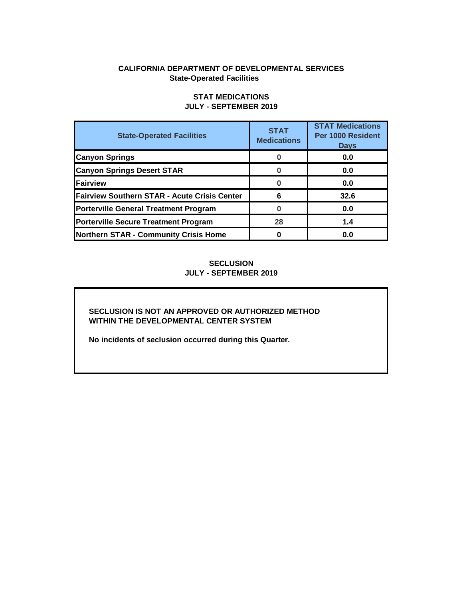## **CALIFORNIA DEPARTMENT OF DEVELOPMENTAL SERVICES State-Operated Facilities**

| <b>State-Operated Facilities</b>             | <b>STAT</b><br><b>Medications</b> | <b>STAT Medications</b><br>Per 1000 Resident<br><b>Days</b> |
|----------------------------------------------|-----------------------------------|-------------------------------------------------------------|
| <b>Canyon Springs</b>                        |                                   | 0.0                                                         |
| <b>Canyon Springs Desert STAR</b>            |                                   | 0.0                                                         |
| Fairview                                     |                                   | 0.0                                                         |
| Fairview Southern STAR - Acute Crisis Center | 6                                 | 32.6                                                        |
| <b>Porterville General Treatment Program</b> | $\Omega$                          | 0.0                                                         |
| <b>Porterville Secure Treatment Program</b>  | 28                                | 1.4                                                         |
| <b>Northern STAR - Community Crisis Home</b> | 0                                 | 0.0                                                         |

# **STAT MEDICATIONS JULY - SEPTEMBER 2019**

**SECLUSION JULY - SEPTEMBER 2019** 

## **SECLUSION IS NOT AN APPROVED OR AUTHORIZED METHOD WITHIN THE DEVELOPMENTAL CENTER SYSTEM**

**No incidents of seclusion occurred during this Quarter.**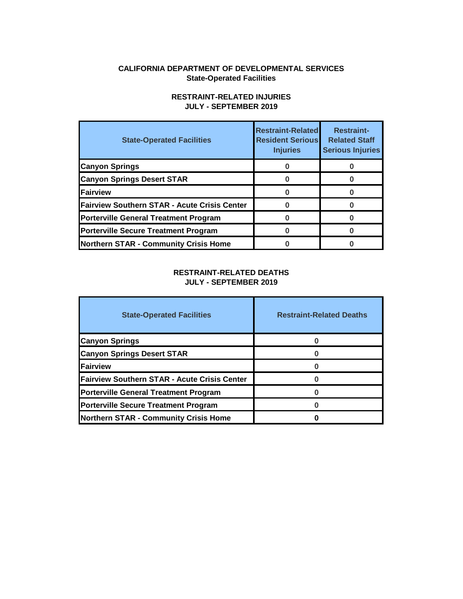## **CALIFORNIA DEPARTMENT OF DEVELOPMENTAL SERVICES State-Operated Facilities**

# **State-Operated Facilities Restraint-Related Resident Serious Injuries Restraint-Related Staff Serious Injuries Canyon Springs 1 0 0 1 0 0 0 Canyon Springs Desert STAR 0** 0 **0** 0 0 0 **Fairview 0 0**  Fairview Southern STAR - Acute Crisis Center **0** 0 0 0 0 **Porterville General Treatment Program**  0 0 0 0 0 **Porterville Secure Treatment Program**  0 0 0 0 0 0 **Northern STAR - Community Crisis Home 0 0**

## **RESTRAINT-RELATED INJURIES JULY - SEPTEMBER 2019**

## **RESTRAINT-RELATED DEATHS JULY - SEPTEMBER 2019**

| <b>State-Operated Facilities</b>                    | <b>Restraint-Related Deaths</b> |
|-----------------------------------------------------|---------------------------------|
| <b>Canyon Springs</b>                               |                                 |
| <b>Canyon Springs Desert STAR</b>                   |                                 |
| <b>IFairview</b>                                    |                                 |
| <b>Fairview Southern STAR - Acute Crisis Center</b> |                                 |
| <b>Porterville General Treatment Program</b>        |                                 |
| <b>Porterville Secure Treatment Program</b>         |                                 |
| <b>Northern STAR - Community Crisis Home</b>        |                                 |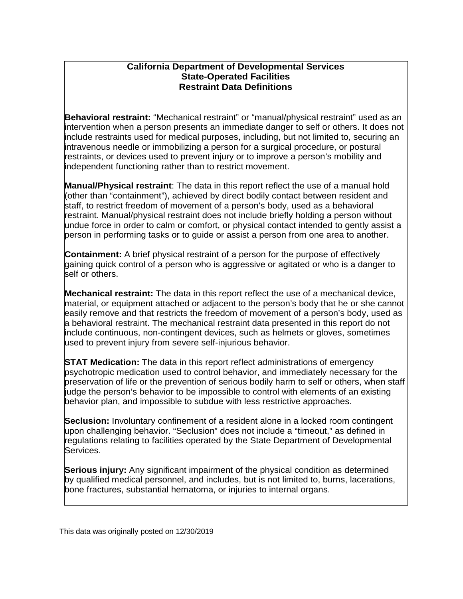# **California Department of Developmental Services State-Operated Facilities Restraint Data Definitions**

**Behavioral restraint:** "Mechanical restraint" or "manual/physical restraint" used as an intervention when a person presents an immediate danger to self or others. It does not include restraints used for medical purposes, including, but not limited to, securing an intravenous needle or immobilizing a person for a surgical procedure, or postural restraints, or devices used to prevent injury or to improve a person's mobility and independent functioning rather than to restrict movement.

 staff, to restrict freedom of movement of a person's body, used as a behavioral **Manual/Physical restraint**: The data in this report reflect the use of a manual hold (other than "containment"), achieved by direct bodily contact between resident and restraint. Manual/physical restraint does not include briefly holding a person without undue force in order to calm or comfort, or physical contact intended to gently assist a person in performing tasks or to guide or assist a person from one area to another.

**Containment:** A brief physical restraint of a person for the purpose of effectively gaining quick control of a person who is aggressive or agitated or who is a danger to self or others.

**Mechanical restraint:** The data in this report reflect the use of a mechanical device, material, or equipment attached or adjacent to the person's body that he or she cannot easily remove and that restricts the freedom of movement of a person's body, used as a behavioral restraint. The mechanical restraint data presented in this report do not include continuous, non-contingent devices, such as helmets or gloves, sometimes used to prevent injury from severe self-injurious behavior.

 preservation of life or the prevention of serious bodily harm to self or others, when staff **STAT Medication:** The data in this report reflect administrations of emergency psychotropic medication used to control behavior, and immediately necessary for the judge the person's behavior to be impossible to control with elements of an existing behavior plan, and impossible to subdue with less restrictive approaches.

 **Seclusion:** Involuntary confinement of a resident alone in a locked room contingent upon challenging behavior. "Seclusion" does not include a "timeout," as defined in regulations relating to facilities operated by the State Department of Developmental Services.

**Serious injury:** Any significant impairment of the physical condition as determined by qualified medical personnel, and includes, but is not limited to, burns, lacerations, bone fractures, substantial hematoma, or injuries to internal organs.